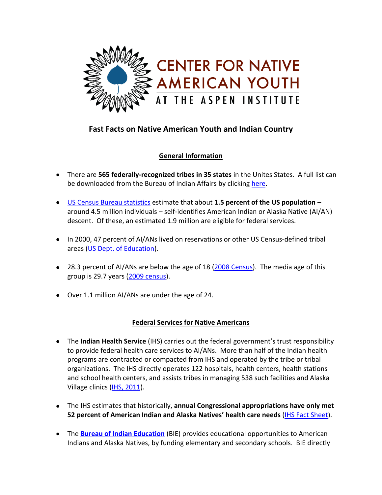

# **Fast Facts on Native American Youth and Indian Country**

## **General Information**

- There are **565 federally-recognized tribes in 35 states** in the Unites States. A full list can be downloaded from the Bureau of Indian Affairs by clicking [here.](http://www.bia.gov/idc/groups/xofa/documents/document/idc012038.pdf)
- [US Census Bureau statistics](http://factfinder.census.gov/servlet/GRTTable?_bm=y&-geo_id=01000US&-_box_head_nbr=R0203&-ds_name=ACS_2009_1YR_G00_&-redoLog=false&-mt_name=ACS_2006_EST_G00_R0203_US30&-format=US-30) estimate that about **1.5 percent of the US population** around 4.5 million individuals – self-identifies American Indian or Alaska Native (AI/AN) descent. Of these, an estimated 1.9 million are eligible for federal services.
- In 2000, 47 percent of AI/ANs lived on reservations or other US Census-defined tribal areas [\(US Dept. of Education\)](http://nces.ed.gov/pubs2008/nativetrends/ind_1_2.asp).
- 28.3 percent of AI/ANs are below the age of 18 (2008 [Census\)](http://factfinder.census.gov/servlet/DTTable?_bm=y&-state=dt&-ds_name=ACS_2008_1YR_G00_&-_geoSkip=0&-CONTEXT=dt&-mt_name=ACS_2008_1YR_G2000_B01001C&-_skip=0&-redoLog=false&-geo_id=01000US&-geo_id=NBSP&-_showChild=Y&-format=&-_lang=en&-_toggle=ACS_2008_1YR_). The media age of this group is 29.7 years [\(2009 census\)](http://www.americanindianreport.com/wordpress/2010/11/national-american-indian-heritage-month-facts-figures-from-the-census-bureau/).
- Over 1.1 million AI/ANs are under the age of 24.

## **Federal Services for Native Americans**

- The **Indian Health Service** (IHS) carries out the federal government's trust responsibility to provide federal health care services to AI/ANs. More than half of the Indian health programs are contracted or compacted from IHS and operated by the tribe or tribal organizations. The IHS directly operates 122 hospitals, health centers, health stations and school health centers, and assists tribes in managing 538 such facilities and Alaska Village clinics (IHS, [2011\)](http://info.ihs.gov/Profile2011.asp).
- The IHS estimates that historically, **annual Congressional appropriations have only met 52 percent of American Indian and Alaska Natives' health care needs** [\(IHS Fact Sheet\)](http://info.ihs.gov/QuickLook.asp).
- The **[Bureau of Indian Education](http://www.bia.gov/WhatWeDo/ServiceOverview/IndianEducation/index.htm)** (BIE) provides educational opportunities to American Indians and Alaska Natives, by funding elementary and secondary schools. BIE directly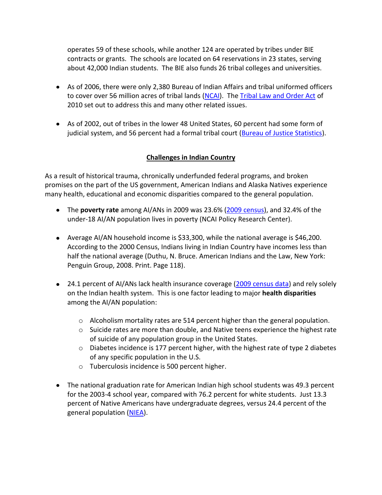operates 59 of these schools, while another 124 are operated by tribes under BIE contracts or grants. The schools are located on 64 reservations in 23 states, serving about 42,000 Indian students. The BIE also funds 26 tribal colleges and universities.

- As of 2006, there were only 2,380 Bureau of Indian Affairs and tribal uniformed officers to cover over 56 million acres of tribal lands [\(NCAI\)](http://www.ncai.org/Law-Enforcement-and-Tribal-Cou.34.0.html). The [Tribal Law and Order Act](http://www.tribaljusticeandsafety.gov/tloa.html) of 2010 set out to address this and many other related issues.
- As of 2002, out of tribes in the lower 48 United States, 60 percent had some form of judicial system, and 56 percent had a formal tribal court [\(Bureau of Justice Statistics\)](http://bjs.ojp.usdoj.gov/index.cfm?ty=tp&tid=29).

#### **Challenges in Indian Country**

As a result of historical trauma, chronically underfunded federal programs, and broken promises on the part of the US government, American Indians and Alaska Natives experience many health, educational and economic disparities compared to the general population.

- The **poverty rate** among AI/ANs in 2009 was 23.6% [\(2009 census\)](http://www.americanindianreport.com/wordpress/2010/11/national-american-indian-heritage-month-facts-figures-from-the-census-bureau/), and 32.4% of the under-18 AI/AN population lives in poverty (NCAI Policy Research Center).
- Average AI/AN household income is \$33,300, while the national average is \$46,200. According to the 2000 Census, Indians living in Indian Country have incomes less than half the national average (Duthu, N. Bruce. American Indians and the Law, New York: Penguin Group, 2008. Print. Page 118).
- 24.1 percent of AI/ANs lack health insurance coverage [\(2009 census data\)](http://www.americanindianreport.com/wordpress/2010/11/national-american-indian-heritage-month-facts-figures-from-the-census-bureau/) and rely solely on the Indian health system. This is one factor leading to major **health disparities** among the AI/AN population:
	- $\circ$  Alcoholism mortality rates are 514 percent higher than the general population.
	- $\circ$  Suicide rates are more than double, and Native teens experience the highest rate of suicide of any population group in the United States.
	- $\circ$  Diabetes incidence is 177 percent higher, with the highest rate of type 2 diabetes of any specific population in the U.S.
	- o Tuberculosis incidence is 500 percent higher.
- The national graduation rate for American Indian high school students was 49.3 percent for the 2003-4 school year, compared with 76.2 percent for white students. Just 13.3 percent of Native Americans have undergraduate degrees, versus 24.4 percent of the general population [\(NIEA\)](http://www.uteed.net/files/nieareport.pdf).